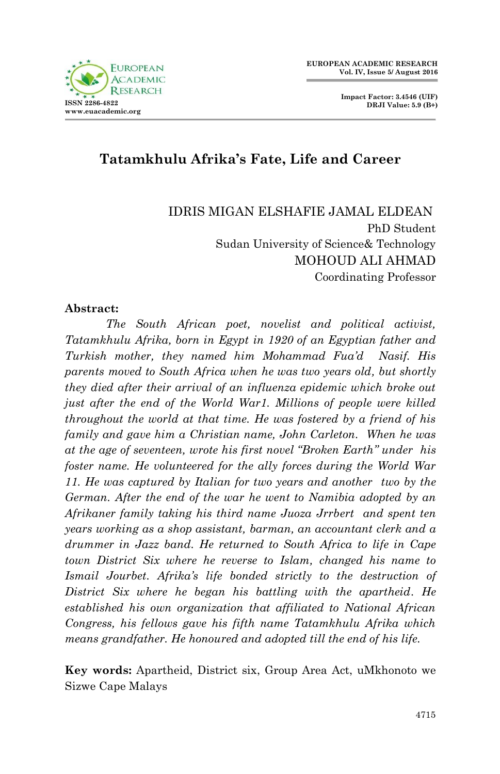

# **Tatamkhulu Afrika's Fate, Life and Career**

IDRIS MIGAN ELSHAFIE JAMAL ELDEAN PhD Student Sudan University of Science& Technology MOHOUD ALI AHMAD Coordinating Professor

#### **Abstract:**

 *The South African poet, novelist and political activist, Tatamkhulu Afrika, born in Egypt in 1920 of an Egyptian father and Turkish mother, they named him Mohammad Fua"d Nasif. His parents moved to South Africa when he was two years old, but shortly they died after their arrival of an influenza epidemic which broke out just after the end of the World War1. Millions of people were killed throughout the world at that time. He was fostered by a friend of his family and gave him a Christian name, John Carleton. When he was at the age of seventeen, wrote his first novel "Broken Earth" under his foster name. He volunteered for the ally forces during the World War 11. He was captured by Italian for two years and another two by the German. After the end of the war he went to Namibia adopted by an Afrikaner family taking his third name Juoza Jrrbert and spent ten years working as a shop assistant, barman, an accountant clerk and a drummer in Jazz band. He returned to South Africa to life in Cape town District Six where he reverse to Islam, changed his name to Ismail Jourbet. Afrika"s life bonded strictly to the destruction of District Six where he began his battling with the apartheid. He established his own organization that affiliated to National African Congress, his fellows gave his fifth name Tatamkhulu Afrika which means grandfather. He honoured and adopted till the end of his life.* 

**Key words:** Apartheid, District six, Group Area Act, uMkhonoto we Sizwe Cape Malays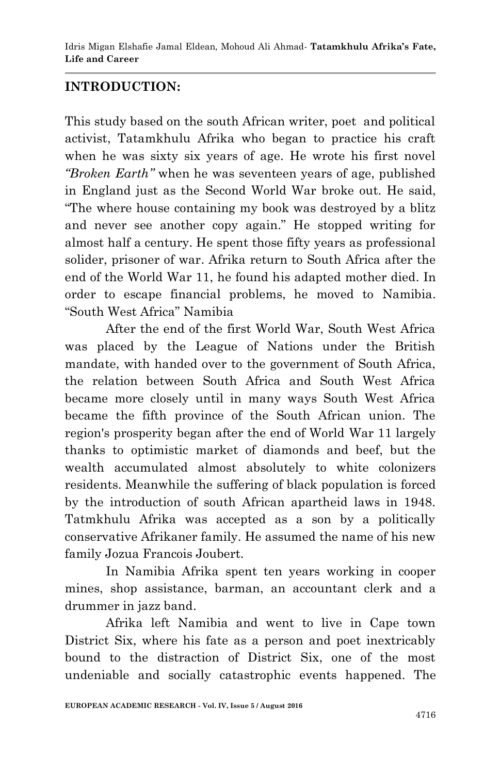# **INTRODUCTION:**

This study based on the south African writer, poet and political activist, Tatamkhulu Afrika who began to practice his craft when he was sixty six years of age. He wrote his first novel *"Broken Earth"* when he was seventeen years of age, published in England just as the Second World War broke out. He said, "The where house containing my book was destroyed by a blitz and never see another copy again." He stopped writing for almost half a century. He spent those fifty years as professional solider, prisoner of war. Afrika return to South Africa after the end of the World War 11, he found his adapted mother died. In order to escape financial problems, he moved to Namibia. "South West Africa" Namibia

 After the end of the first World War, South West Africa was placed by the League of Nations under the British mandate, with handed over to the government of South Africa, the relation between South Africa and South West Africa became more closely until in many ways South West Africa became the fifth province of the South African union. The region's prosperity began after the end of World War 11 largely thanks to optimistic market of diamonds and beef, but the wealth accumulated almost absolutely to white colonizers residents. Meanwhile the suffering of black population is forced by the introduction of south African apartheid laws in 1948. Tatmkhulu Afrika was accepted as a son by a politically conservative Afrikaner family. He assumed the name of his new family Jozua Francois Joubert.

 In Namibia Afrika spent ten years working in cooper mines, shop assistance, barman, an accountant clerk and a drummer in jazz band.

Afrika left Namibia and went to live in Cape town District Six, where his fate as a person and poet inextricably bound to the distraction of District Six, one of the most undeniable and socially catastrophic events happened. The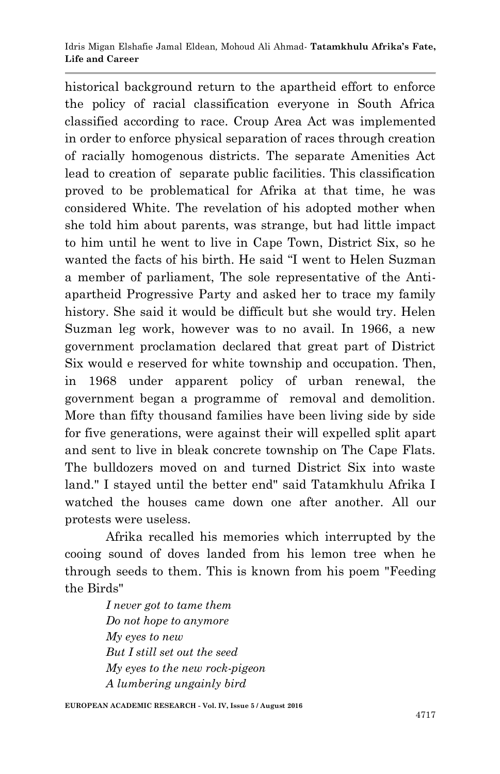historical background return to the apartheid effort to enforce the policy of racial classification everyone in South Africa classified according to race. Croup Area Act was implemented in order to enforce physical separation of races through creation of racially homogenous districts. The separate Amenities Act lead to creation of separate public facilities. This classification proved to be problematical for Afrika at that time, he was considered White. The revelation of his adopted mother when she told him about parents, was strange, but had little impact to him until he went to live in Cape Town, District Six, so he wanted the facts of his birth. He said "I went to Helen Suzman a member of parliament, The sole representative of the Antiapartheid Progressive Party and asked her to trace my family history. She said it would be difficult but she would try. Helen Suzman leg work, however was to no avail. In 1966, a new government proclamation declared that great part of District Six would e reserved for white township and occupation. Then, in 1968 under apparent policy of urban renewal, the government began a programme of removal and demolition. More than fifty thousand families have been living side by side for five generations, were against their will expelled split apart and sent to live in bleak concrete township on The Cape Flats. The bulldozers moved on and turned District Six into waste land." I stayed until the better end" said Tatamkhulu Afrika I watched the houses came down one after another. All our protests were useless.

Afrika recalled his memories which interrupted by the cooing sound of doves landed from his lemon tree when he through seeds to them. This is known from his poem "Feeding the Birds"

> *I never got to tame them Do not hope to anymore My eyes to new But I still set out the seed My eyes to the new rock-pigeon A lumbering ungainly bird*

**EUROPEAN ACADEMIC RESEARCH - Vol. IV, Issue 5 / August 2016**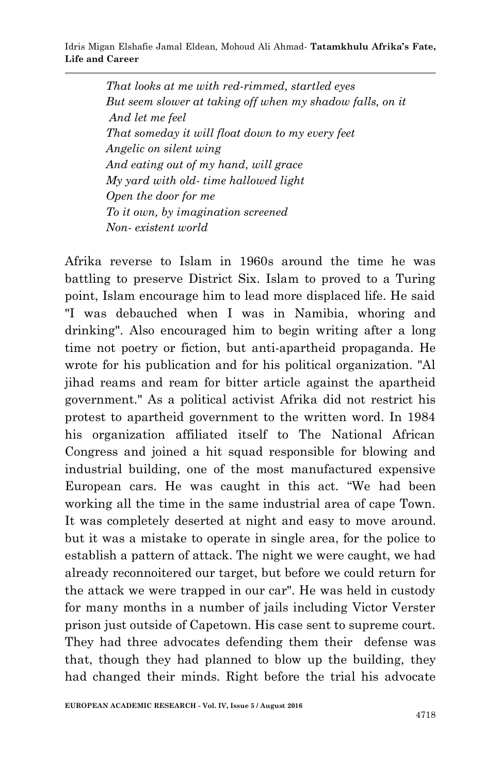*That looks at me with red-rimmed, startled eyes But seem slower at taking off when my shadow falls, on it And let me feel That someday it will float down to my every feet Angelic on silent wing And eating out of my hand, will grace My yard with old- time hallowed light Open the door for me To it own, by imagination screened Non- existent world*

Afrika reverse to Islam in 1960s around the time he was battling to preserve District Six. Islam to proved to a Turing point, Islam encourage him to lead more displaced life. He said "I was debauched when I was in Namibia, whoring and drinking". Also encouraged him to begin writing after a long time not poetry or fiction, but anti-apartheid propaganda. He wrote for his publication and for his political organization. "Al jihad reams and ream for bitter article against the apartheid government." As a political activist Afrika did not restrict his protest to apartheid government to the written word. In 1984 his organization affiliated itself to The National African Congress and joined a hit squad responsible for blowing and industrial building, one of the most manufactured expensive European cars. He was caught in this act. "We had been working all the time in the same industrial area of cape Town. It was completely deserted at night and easy to move around. but it was a mistake to operate in single area, for the police to establish a pattern of attack. The night we were caught, we had already reconnoitered our target, but before we could return for the attack we were trapped in our car". He was held in custody for many months in a number of jails including Victor Verster prison just outside of Capetown. His case sent to supreme court. They had three advocates defending them their defense was that, though they had planned to blow up the building, they had changed their minds. Right before the trial his advocate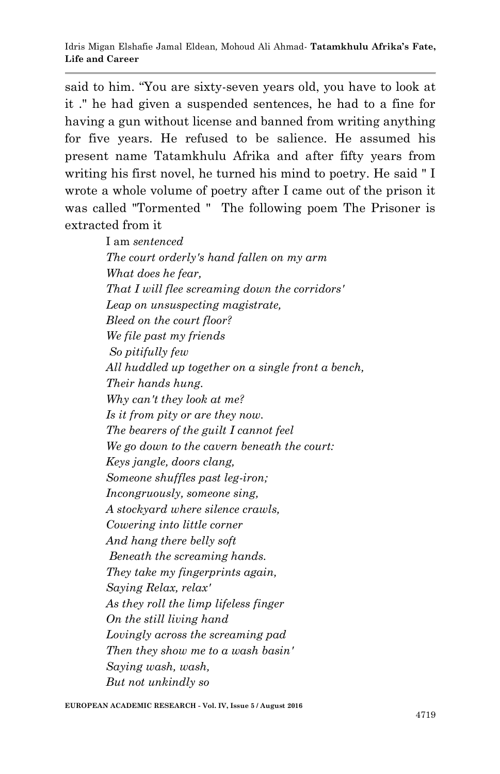said to him. "You are sixty-seven years old, you have to look at it ." he had given a suspended sentences, he had to a fine for having a gun without license and banned from writing anything for five years. He refused to be salience. He assumed his present name Tatamkhulu Afrika and after fifty years from writing his first novel, he turned his mind to poetry. He said " I wrote a whole volume of poetry after I came out of the prison it was called "Tormented " The following poem The Prisoner is extracted from it

> I am *sentenced The court orderly's hand fallen on my arm What does he fear, That I will flee screaming down the corridors' Leap on unsuspecting magistrate, Bleed on the court floor? We file past my friends So pitifully few All huddled up together on a single front a bench, Their hands hung. Why can't they look at me? Is it from pity or are they now. The bearers of the guilt I cannot feel We go down to the cavern beneath the court: Keys jangle, doors clang, Someone shuffles past leg-iron; Incongruously, someone sing, A stockyard where silence crawls, Cowering into little corner And hang there belly soft Beneath the screaming hands. They take my fingerprints again, Saying Relax, relax' As they roll the limp lifeless finger On the still living hand Lovingly across the screaming pad Then they show me to a wash basin' Saying wash, wash, But not unkindly so*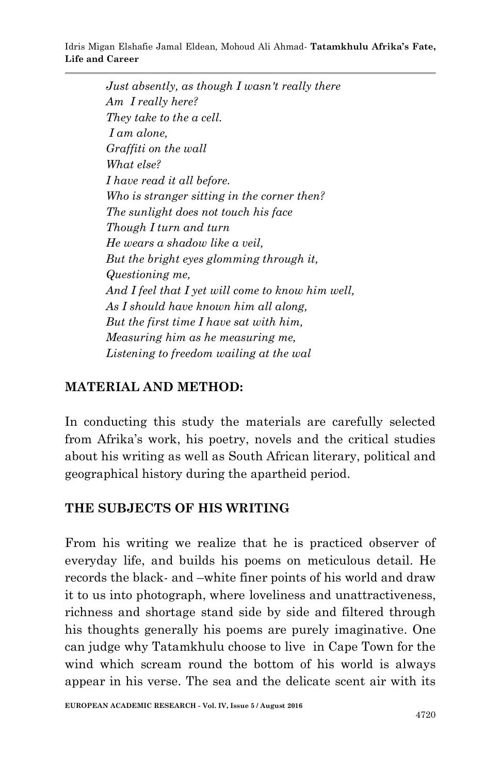*Just absently, as though I wasn't really there Am I really here? They take to the a cell. I am alone, Graffiti on the wall What else? I have read it all before. Who is stranger sitting in the corner then? The sunlight does not touch his face Though I turn and turn He wears a shadow like a veil, But the bright eyes glomming through it, Questioning me, And I feel that I yet will come to know him well, As I should have known him all along, But the first time I have sat with him, Measuring him as he measuring me, Listening to freedom wailing at the wal*

# **MATERIAL AND METHOD:**

In conducting this study the materials are carefully selected from Afrika's work, his poetry, novels and the critical studies about his writing as well as South African literary, political and geographical history during the apartheid period.

### **THE SUBJECTS OF HIS WRITING**

From his writing we realize that he is practiced observer of everyday life, and builds his poems on meticulous detail. He records the black- and –white finer points of his world and draw it to us into photograph, where loveliness and unattractiveness, richness and shortage stand side by side and filtered through his thoughts generally his poems are purely imaginative. One can judge why Tatamkhulu choose to live in Cape Town for the wind which scream round the bottom of his world is always appear in his verse. The sea and the delicate scent air with its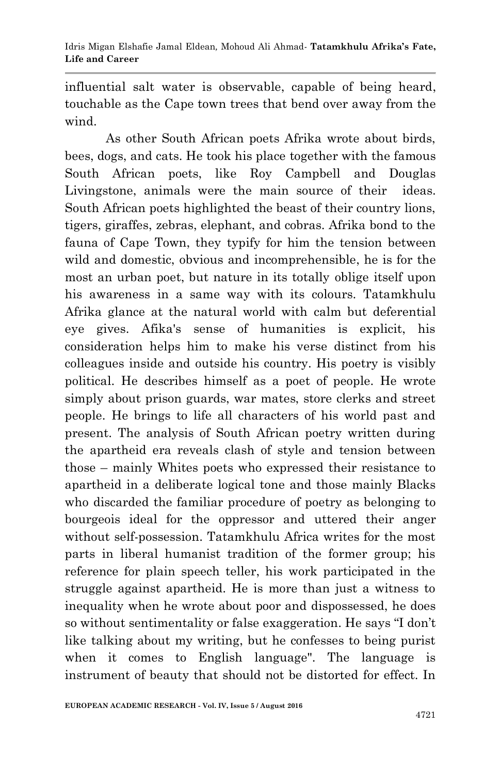influential salt water is observable, capable of being heard, touchable as the Cape town trees that bend over away from the wind.

As other South African poets Afrika wrote about birds, bees, dogs, and cats. He took his place together with the famous South African poets, like Roy Campbell and Douglas Livingstone, animals were the main source of their ideas. South African poets highlighted the beast of their country lions, tigers, giraffes, zebras, elephant, and cobras. Afrika bond to the fauna of Cape Town, they typify for him the tension between wild and domestic, obvious and incomprehensible, he is for the most an urban poet, but nature in its totally oblige itself upon his awareness in a same way with its colours. Tatamkhulu Afrika glance at the natural world with calm but deferential eye gives. Afika's sense of humanities is explicit, his consideration helps him to make his verse distinct from his colleagues inside and outside his country. His poetry is visibly political. He describes himself as a poet of people. He wrote simply about prison guards, war mates, store clerks and street people. He brings to life all characters of his world past and present. The analysis of South African poetry written during the apartheid era reveals clash of style and tension between those – mainly Whites poets who expressed their resistance to apartheid in a deliberate logical tone and those mainly Blacks who discarded the familiar procedure of poetry as belonging to bourgeois ideal for the oppressor and uttered their anger without self-possession. Tatamkhulu Africa writes for the most parts in liberal humanist tradition of the former group; his reference for plain speech teller, his work participated in the struggle against apartheid. He is more than just a witness to inequality when he wrote about poor and dispossessed, he does so without sentimentality or false exaggeration. He says "I don't like talking about my writing, but he confesses to being purist when it comes to English language". The language is instrument of beauty that should not be distorted for effect. In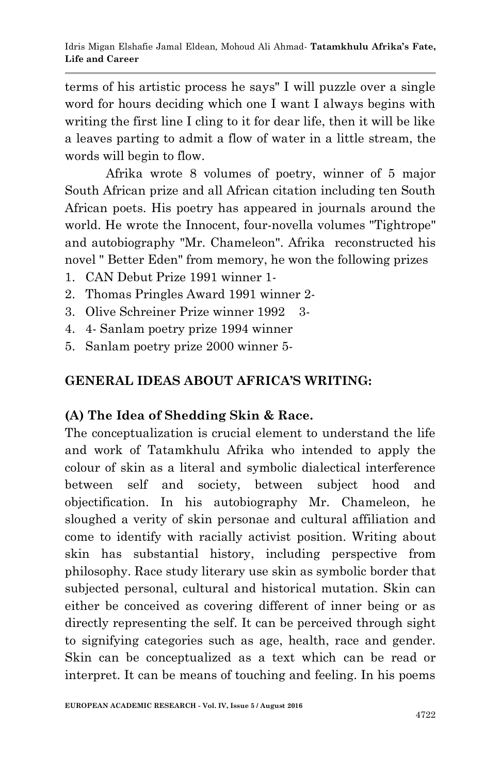terms of his artistic process he says" I will puzzle over a single word for hours deciding which one I want I always begins with writing the first line I cling to it for dear life, then it will be like a leaves parting to admit a flow of water in a little stream, the words will begin to flow.

 Afrika wrote 8 volumes of poetry, winner of 5 major South African prize and all African citation including ten South African poets. His poetry has appeared in journals around the world. He wrote the Innocent, four-novella volumes "Tightrope" and autobiography "Mr. Chameleon". Afrika reconstructed his novel " Better Eden" from memory, he won the following prizes

- 1. CAN Debut Prize 1991 winner 1-
- 2. Thomas Pringles Award 1991 winner 2-
- 3. Olive Schreiner Prize winner 1992 3-
- 4. 4- Sanlam poetry prize 1994 winner
- 5. Sanlam poetry prize 2000 winner 5-

### **GENERAL IDEAS ABOUT AFRICA'S WRITING:**

#### **(A) The Idea of Shedding Skin & Race.**

The conceptualization is crucial element to understand the life and work of Tatamkhulu Afrika who intended to apply the colour of skin as a literal and symbolic dialectical interference between self and society, between subject hood and objectification. In his autobiography Mr. Chameleon, he sloughed a verity of skin personae and cultural affiliation and come to identify with racially activist position. Writing about skin has substantial history, including perspective from philosophy. Race study literary use skin as symbolic border that subjected personal, cultural and historical mutation. Skin can either be conceived as covering different of inner being or as directly representing the self. It can be perceived through sight to signifying categories such as age, health, race and gender. Skin can be conceptualized as a text which can be read or interpret. It can be means of touching and feeling. In his poems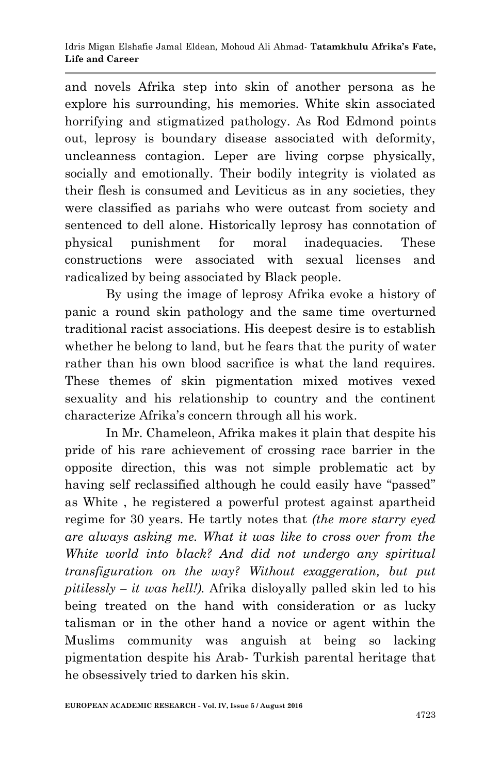and novels Afrika step into skin of another persona as he explore his surrounding, his memories. White skin associated horrifying and stigmatized pathology. As Rod Edmond points out, leprosy is boundary disease associated with deformity, uncleanness contagion. Leper are living corpse physically, socially and emotionally. Their bodily integrity is violated as their flesh is consumed and Leviticus as in any societies, they were classified as pariahs who were outcast from society and sentenced to dell alone. Historically leprosy has connotation of physical punishment for moral inadequacies. These constructions were associated with sexual licenses and radicalized by being associated by Black people.

 By using the image of leprosy Afrika evoke a history of panic a round skin pathology and the same time overturned traditional racist associations. His deepest desire is to establish whether he belong to land, but he fears that the purity of water rather than his own blood sacrifice is what the land requires. These themes of skin pigmentation mixed motives vexed sexuality and his relationship to country and the continent characterize Afrika's concern through all his work.

 In Mr. Chameleon, Afrika makes it plain that despite his pride of his rare achievement of crossing race barrier in the opposite direction, this was not simple problematic act by having self reclassified although he could easily have "passed" as White , he registered a powerful protest against apartheid regime for 30 years. He tartly notes that *(the more starry eyed are always asking me. What it was like to cross over from the White world into black? And did not undergo any spiritual transfiguration on the way? Without exaggeration, but put pitilessly – it was hell!).* Afrika disloyally palled skin led to his being treated on the hand with consideration or as lucky talisman or in the other hand a novice or agent within the Muslims community was anguish at being so lacking pigmentation despite his Arab- Turkish parental heritage that he obsessively tried to darken his skin.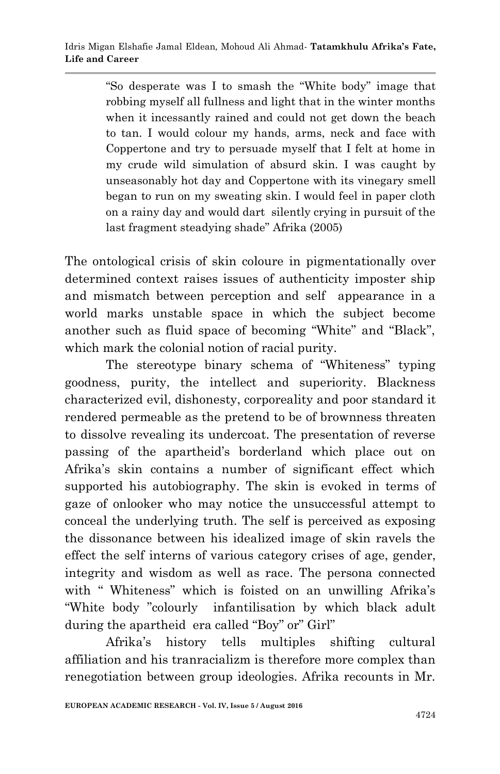"So desperate was I to smash the "White body" image that robbing myself all fullness and light that in the winter months when it incessantly rained and could not get down the beach to tan. I would colour my hands, arms, neck and face with Coppertone and try to persuade myself that I felt at home in my crude wild simulation of absurd skin. I was caught by unseasonably hot day and Coppertone with its vinegary smell began to run on my sweating skin. I would feel in paper cloth on a rainy day and would dart silently crying in pursuit of the last fragment steadying shade" Afrika (2005)

The ontological crisis of skin coloure in pigmentationally over determined context raises issues of authenticity imposter ship and mismatch between perception and self appearance in a world marks unstable space in which the subject become another such as fluid space of becoming "White" and "Black", which mark the colonial notion of racial purity.

 The stereotype binary schema of "Whiteness" typing goodness, purity, the intellect and superiority. Blackness characterized evil, dishonesty, corporeality and poor standard it rendered permeable as the pretend to be of brownness threaten to dissolve revealing its undercoat. The presentation of reverse passing of the apartheid's borderland which place out on Afrika's skin contains a number of significant effect which supported his autobiography. The skin is evoked in terms of gaze of onlooker who may notice the unsuccessful attempt to conceal the underlying truth. The self is perceived as exposing the dissonance between his idealized image of skin ravels the effect the self interns of various category crises of age, gender, integrity and wisdom as well as race. The persona connected with "Whiteness" which is foisted on an unwilling Afrika's "White body "colourly infantilisation by which black adult during the apartheid era called "Boy" or" Girl"

 Afrika's history tells multiples shifting cultural affiliation and his tranracializm is therefore more complex than renegotiation between group ideologies. Afrika recounts in Mr.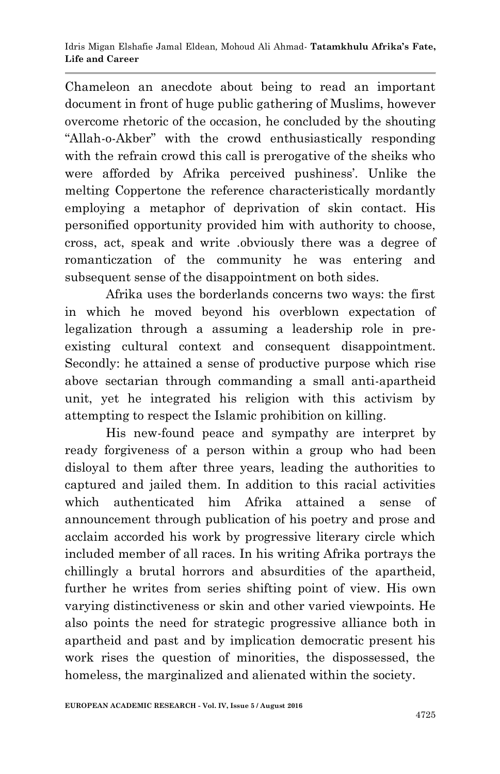Chameleon an anecdote about being to read an important document in front of huge public gathering of Muslims, however overcome rhetoric of the occasion, he concluded by the shouting "Allah-o-Akber" with the crowd enthusiastically responding with the refrain crowd this call is prerogative of the sheiks who were afforded by Afrika perceived pushiness'. Unlike the melting Coppertone the reference characteristically mordantly employing a metaphor of deprivation of skin contact. His personified opportunity provided him with authority to choose, cross, act, speak and write .obviously there was a degree of romanticzation of the community he was entering and subsequent sense of the disappointment on both sides.

Afrika uses the borderlands concerns two ways: the first in which he moved beyond his overblown expectation of legalization through a assuming a leadership role in preexisting cultural context and consequent disappointment. Secondly: he attained a sense of productive purpose which rise above sectarian through commanding a small anti-apartheid unit, yet he integrated his religion with this activism by attempting to respect the Islamic prohibition on killing.

His new-found peace and sympathy are interpret by ready forgiveness of a person within a group who had been disloyal to them after three years, leading the authorities to captured and jailed them. In addition to this racial activities which authenticated him Afrika attained a sense of announcement through publication of his poetry and prose and acclaim accorded his work by progressive literary circle which included member of all races. In his writing Afrika portrays the chillingly a brutal horrors and absurdities of the apartheid, further he writes from series shifting point of view. His own varying distinctiveness or skin and other varied viewpoints. He also points the need for strategic progressive alliance both in apartheid and past and by implication democratic present his work rises the question of minorities, the dispossessed, the homeless, the marginalized and alienated within the society.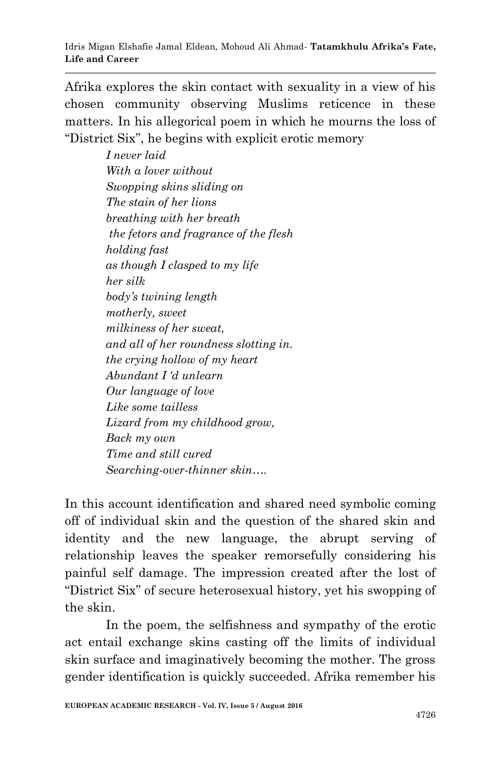Afrika explores the skin contact with sexuality in a view of his chosen community observing Muslims reticence in these matters. In his allegorical poem in which he mourns the loss of "District Six", he begins with explicit erotic memory

> *I never laid With a lover without Swopping skins sliding on The stain of her lions breathing with her breath the fetors and fragrance of the flesh holding fast as though I clasped to my life her silk body"s twining length motherly, sweet milkiness of her sweat, and all of her roundness slotting in. the crying hollow of my heart Abundant I "d unlearn Our language of love Like some tailless Lizard from my childhood grow, Back my own Time and still cured Searching-over-thinner skin….*

In this account identification and shared need symbolic coming off of individual skin and the question of the shared skin and identity and the new language, the abrupt serving of relationship leaves the speaker remorsefully considering his painful self damage. The impression created after the lost of "District Six" of secure heterosexual history, yet his swopping of the skin.

 In the poem, the selfishness and sympathy of the erotic act entail exchange skins casting off the limits of individual skin surface and imaginatively becoming the mother. The gross gender identification is quickly succeeded. Afrika remember his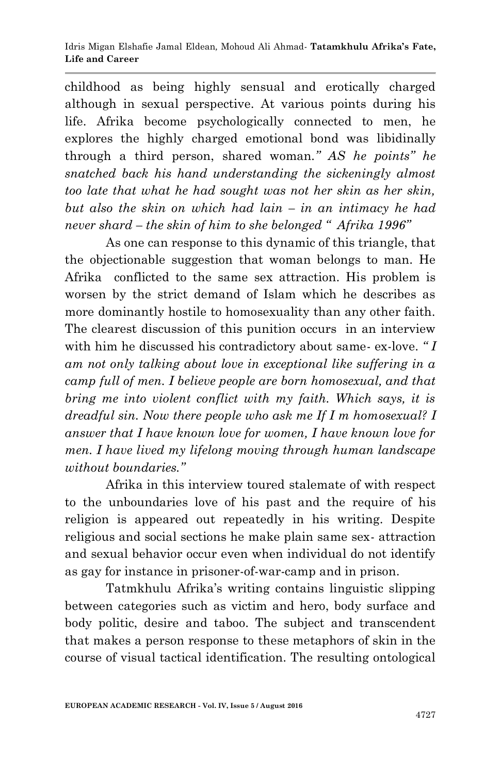childhood as being highly sensual and erotically charged although in sexual perspective. At various points during his life. Afrika become psychologically connected to men, he explores the highly charged emotional bond was libidinally through a third person, shared woman*." AS he points" he snatched back his hand understanding the sickeningly almost too late that what he had sought was not her skin as her skin, but also the skin on which had lain – in an intimacy he had never shard – the skin of him to she belonged " Afrika 1996"*

 As one can response to this dynamic of this triangle, that the objectionable suggestion that woman belongs to man. He Afrika conflicted to the same sex attraction. His problem is worsen by the strict demand of Islam which he describes as more dominantly hostile to homosexuality than any other faith. The clearest discussion of this punition occurs in an interview with him he discussed his contradictory about same- ex-love. *" I am not only talking about love in exceptional like suffering in a camp full of men. I believe people are born homosexual, and that bring me into violent conflict with my faith. Which says, it is dreadful sin. Now there people who ask me If I m homosexual? I answer that I have known love for women, I have known love for men. I have lived my lifelong moving through human landscape without boundaries."* 

 Afrika in this interview toured stalemate of with respect to the unboundaries love of his past and the require of his religion is appeared out repeatedly in his writing. Despite religious and social sections he make plain same sex- attraction and sexual behavior occur even when individual do not identify as gay for instance in prisoner-of-war-camp and in prison.

 Tatmkhulu Afrika's writing contains linguistic slipping between categories such as victim and hero, body surface and body politic, desire and taboo. The subject and transcendent that makes a person response to these metaphors of skin in the course of visual tactical identification. The resulting ontological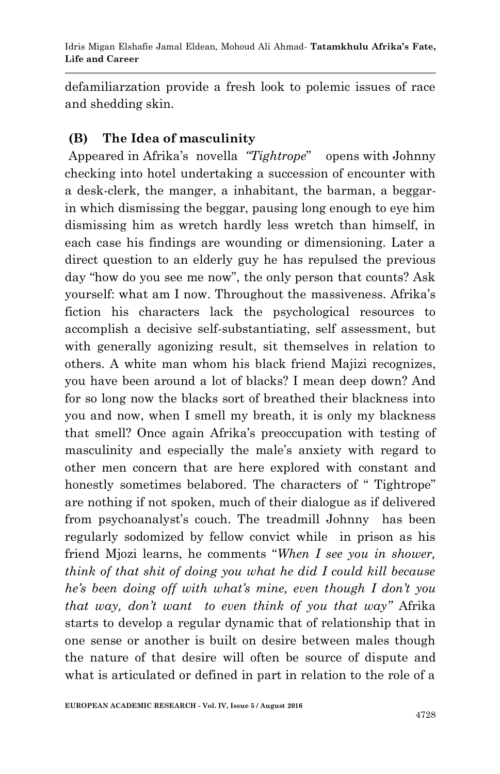defamiliarzation provide a fresh look to polemic issues of race and shedding skin.

### **(B) The Idea of masculinity**

Appeared in Afrika's novella *"Tightrope*" opens with Johnny checking into hotel undertaking a succession of encounter with a desk-clerk, the manger, a inhabitant, the barman, a beggarin which dismissing the beggar, pausing long enough to eye him dismissing him as wretch hardly less wretch than himself, in each case his findings are wounding or dimensioning. Later a direct question to an elderly guy he has repulsed the previous day "how do you see me now", the only person that counts? Ask yourself: what am I now. Throughout the massiveness. Afrika's fiction his characters lack the psychological resources to accomplish a decisive self-substantiating, self assessment, but with generally agonizing result, sit themselves in relation to others. A white man whom his black friend Majizi recognizes, you have been around a lot of blacks? I mean deep down? And for so long now the blacks sort of breathed their blackness into you and now, when I smell my breath, it is only my blackness that smell? Once again Afrika's preoccupation with testing of masculinity and especially the male's anxiety with regard to other men concern that are here explored with constant and honestly sometimes belabored. The characters of " Tightrope" are nothing if not spoken, much of their dialogue as if delivered from psychoanalyst's couch. The treadmill Johnny has been regularly sodomized by fellow convict while in prison as his friend Mjozi learns, he comments "*When I see you in shower, think of that shit of doing you what he did I could kill because he"s been doing off with what"s mine, even though I don"t you that way, don"t want to even think of you that way"* Afrika starts to develop a regular dynamic that of relationship that in one sense or another is built on desire between males though the nature of that desire will often be source of dispute and what is articulated or defined in part in relation to the role of a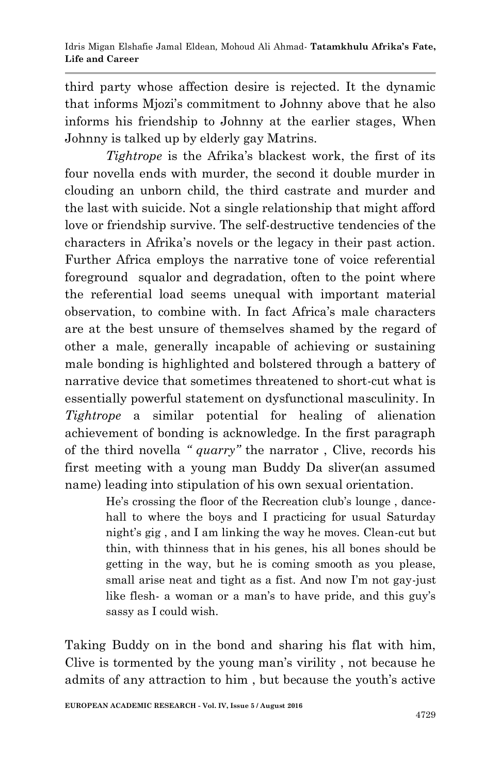third party whose affection desire is rejected. It the dynamic that informs Mjozi's commitment to Johnny above that he also informs his friendship to Johnny at the earlier stages, When Johnny is talked up by elderly gay Matrins.

 *Tightrope* is the Afrika's blackest work, the first of its four novella ends with murder, the second it double murder in clouding an unborn child, the third castrate and murder and the last with suicide. Not a single relationship that might afford love or friendship survive. The self-destructive tendencies of the characters in Afrika's novels or the legacy in their past action. Further Africa employs the narrative tone of voice referential foreground squalor and degradation, often to the point where the referential load seems unequal with important material observation, to combine with. In fact Africa's male characters are at the best unsure of themselves shamed by the regard of other a male, generally incapable of achieving or sustaining male bonding is highlighted and bolstered through a battery of narrative device that sometimes threatened to short-cut what is essentially powerful statement on dysfunctional masculinity. In *Tightrope* a similar potential for healing of alienation achievement of bonding is acknowledge. In the first paragraph of the third novella *" quarry"* the narrator , Clive, records his first meeting with a young man Buddy Da sliver(an assumed name) leading into stipulation of his own sexual orientation.

> He's crossing the floor of the Recreation club's lounge , dancehall to where the boys and I practicing for usual Saturday night's gig , and I am linking the way he moves. Clean-cut but thin, with thinness that in his genes, his all bones should be getting in the way, but he is coming smooth as you please, small arise neat and tight as a fist. And now I'm not gay-just like flesh- a woman or a man's to have pride, and this guy's sassy as I could wish.

Taking Buddy on in the bond and sharing his flat with him, Clive is tormented by the young man's virility , not because he admits of any attraction to him , but because the youth's active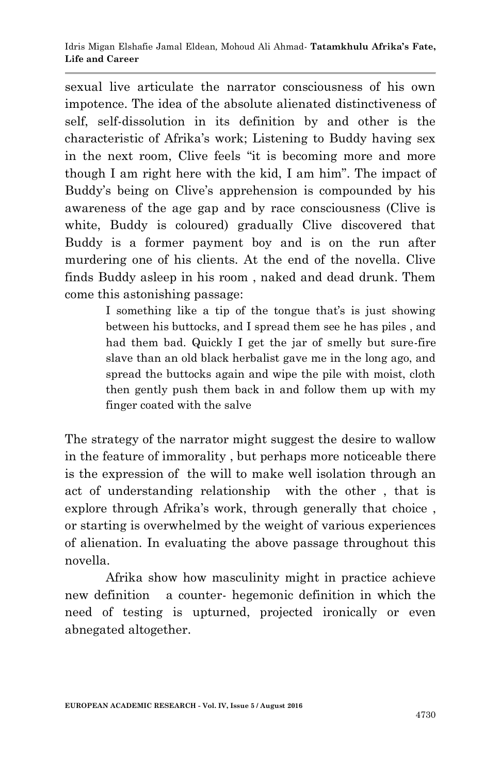sexual live articulate the narrator consciousness of his own impotence. The idea of the absolute alienated distinctiveness of self, self-dissolution in its definition by and other is the characteristic of Afrika's work; Listening to Buddy having sex in the next room, Clive feels "it is becoming more and more though I am right here with the kid, I am him". The impact of Buddy's being on Clive's apprehension is compounded by his awareness of the age gap and by race consciousness (Clive is white, Buddy is coloured) gradually Clive discovered that Buddy is a former payment boy and is on the run after murdering one of his clients. At the end of the novella. Clive finds Buddy asleep in his room , naked and dead drunk. Them come this astonishing passage:

> I something like a tip of the tongue that's is just showing between his buttocks, and I spread them see he has piles , and had them bad. Quickly I get the jar of smelly but sure-fire slave than an old black herbalist gave me in the long ago, and spread the buttocks again and wipe the pile with moist, cloth then gently push them back in and follow them up with my finger coated with the salve

The strategy of the narrator might suggest the desire to wallow in the feature of immorality , but perhaps more noticeable there is the expression of the will to make well isolation through an act of understanding relationship with the other , that is explore through Afrika's work, through generally that choice , or starting is overwhelmed by the weight of various experiences of alienation. In evaluating the above passage throughout this novella.

 Afrika show how masculinity might in practice achieve new definition a counter- hegemonic definition in which the need of testing is upturned, projected ironically or even abnegated altogether.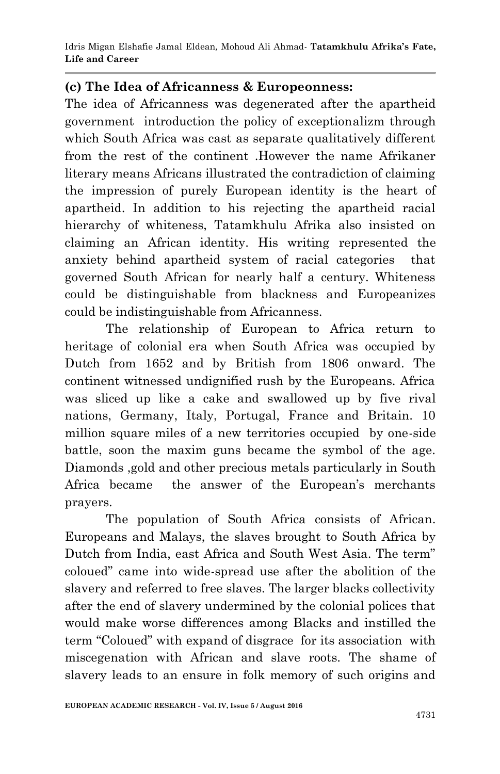Idris Migan Elshafie Jamal Eldean*,* Mohoud Ali Ahmad*-* **Tatamkhulu Afrika's Fate, Life and Career**

#### **(c) The Idea of Africanness & Europeonness:**

The idea of Africanness was degenerated after the apartheid government introduction the policy of exceptionalizm through which South Africa was cast as separate qualitatively different from the rest of the continent .However the name Afrikaner literary means Africans illustrated the contradiction of claiming the impression of purely European identity is the heart of apartheid. In addition to his rejecting the apartheid racial hierarchy of whiteness, Tatamkhulu Afrika also insisted on claiming an African identity. His writing represented the anxiety behind apartheid system of racial categories that governed South African for nearly half a century. Whiteness could be distinguishable from blackness and Europeanizes could be indistinguishable from Africanness.

 The relationship of European to Africa return to heritage of colonial era when South Africa was occupied by Dutch from 1652 and by British from 1806 onward. The continent witnessed undignified rush by the Europeans. Africa was sliced up like a cake and swallowed up by five rival nations, Germany, Italy, Portugal, France and Britain. 10 million square miles of a new territories occupied by one-side battle, soon the maxim guns became the symbol of the age. Diamonds ,gold and other precious metals particularly in South Africa became the answer of the European's merchants prayers.

 The population of South Africa consists of African. Europeans and Malays, the slaves brought to South Africa by Dutch from India, east Africa and South West Asia. The term" coloued" came into wide-spread use after the abolition of the slavery and referred to free slaves. The larger blacks collectivity after the end of slavery undermined by the colonial polices that would make worse differences among Blacks and instilled the term "Coloued" with expand of disgrace for its association with miscegenation with African and slave roots. The shame of slavery leads to an ensure in folk memory of such origins and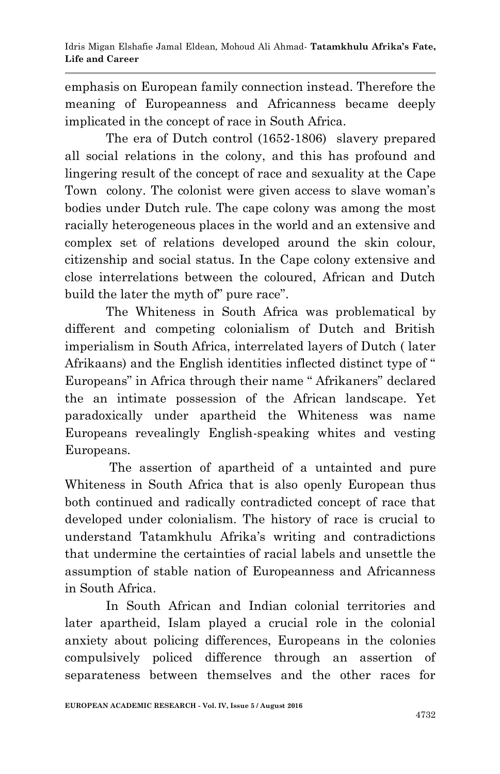emphasis on European family connection instead. Therefore the meaning of Europeanness and Africanness became deeply implicated in the concept of race in South Africa.

 The era of Dutch control (1652-1806) slavery prepared all social relations in the colony, and this has profound and lingering result of the concept of race and sexuality at the Cape Town colony. The colonist were given access to slave woman's bodies under Dutch rule. The cape colony was among the most racially heterogeneous places in the world and an extensive and complex set of relations developed around the skin colour, citizenship and social status. In the Cape colony extensive and close interrelations between the coloured, African and Dutch build the later the myth of" pure race".

 The Whiteness in South Africa was problematical by different and competing colonialism of Dutch and British imperialism in South Africa, interrelated layers of Dutch ( later Afrikaans) and the English identities inflected distinct type of " Europeans" in Africa through their name " Afrikaners" declared the an intimate possession of the African landscape. Yet paradoxically under apartheid the Whiteness was name Europeans revealingly English-speaking whites and vesting Europeans.

 The assertion of apartheid of a untainted and pure Whiteness in South Africa that is also openly European thus both continued and radically contradicted concept of race that developed under colonialism. The history of race is crucial to understand Tatamkhulu Afrika's writing and contradictions that undermine the certainties of racial labels and unsettle the assumption of stable nation of Europeanness and Africanness in South Africa.

 In South African and Indian colonial territories and later apartheid, Islam played a crucial role in the colonial anxiety about policing differences, Europeans in the colonies compulsively policed difference through an assertion of separateness between themselves and the other races for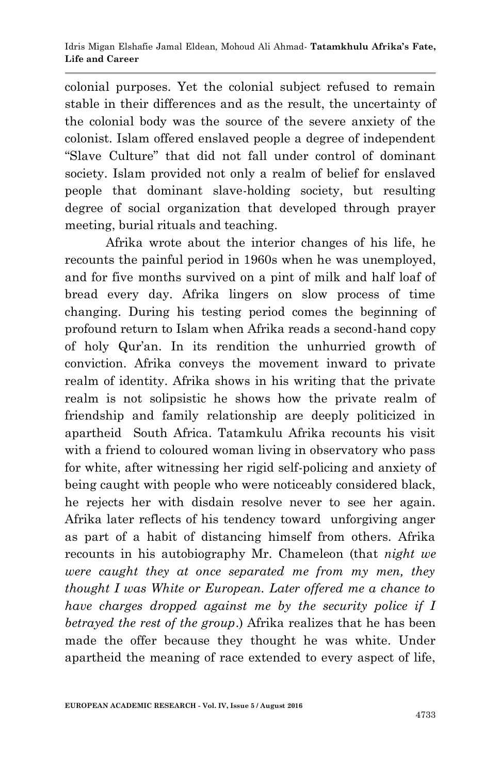colonial purposes. Yet the colonial subject refused to remain stable in their differences and as the result, the uncertainty of the colonial body was the source of the severe anxiety of the colonist. Islam offered enslaved people a degree of independent "Slave Culture" that did not fall under control of dominant society. Islam provided not only a realm of belief for enslaved people that dominant slave-holding society, but resulting degree of social organization that developed through prayer meeting, burial rituals and teaching.

 Afrika wrote about the interior changes of his life, he recounts the painful period in 1960s when he was unemployed, and for five months survived on a pint of milk and half loaf of bread every day. Afrika lingers on slow process of time changing. During his testing period comes the beginning of profound return to Islam when Afrika reads a second-hand copy of holy Qur'an. In its rendition the unhurried growth of conviction. Afrika conveys the movement inward to private realm of identity. Afrika shows in his writing that the private realm is not solipsistic he shows how the private realm of friendship and family relationship are deeply politicized in apartheid South Africa. Tatamkulu Afrika recounts his visit with a friend to coloured woman living in observatory who pass for white, after witnessing her rigid self-policing and anxiety of being caught with people who were noticeably considered black, he rejects her with disdain resolve never to see her again. Afrika later reflects of his tendency toward unforgiving anger as part of a habit of distancing himself from others. Afrika recounts in his autobiography Mr. Chameleon (that *night we were caught they at once separated me from my men, they thought I was White or European. Later offered me a chance to have charges dropped against me by the security police if I betrayed the rest of the group*.) Afrika realizes that he has been made the offer because they thought he was white. Under apartheid the meaning of race extended to every aspect of life,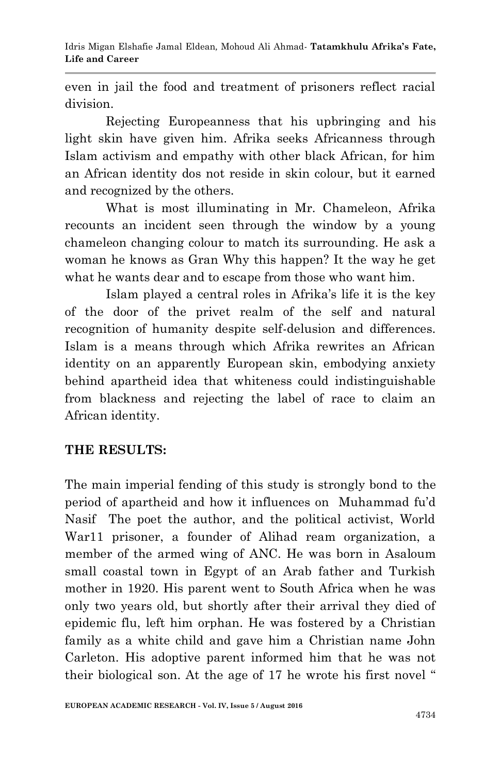even in jail the food and treatment of prisoners reflect racial division.

 Rejecting Europeanness that his upbringing and his light skin have given him. Afrika seeks Africanness through Islam activism and empathy with other black African, for him an African identity dos not reside in skin colour, but it earned and recognized by the others.

 What is most illuminating in Mr. Chameleon, Afrika recounts an incident seen through the window by a young chameleon changing colour to match its surrounding. He ask a woman he knows as Gran Why this happen? It the way he get what he wants dear and to escape from those who want him.

 Islam played a central roles in Afrika's life it is the key of the door of the privet realm of the self and natural recognition of humanity despite self-delusion and differences. Islam is a means through which Afrika rewrites an African identity on an apparently European skin, embodying anxiety behind apartheid idea that whiteness could indistinguishable from blackness and rejecting the label of race to claim an African identity.

### **THE RESULTS:**

The main imperial fending of this study is strongly bond to the period of apartheid and how it influences on Muhammad fu'd Nasif The poet the author, and the political activist, World War11 prisoner, a founder of Alihad ream organization, a member of the armed wing of ANC. He was born in Asaloum small coastal town in Egypt of an Arab father and Turkish mother in 1920. His parent went to South Africa when he was only two years old, but shortly after their arrival they died of epidemic flu, left him orphan. He was fostered by a Christian family as a white child and gave him a Christian name John Carleton. His adoptive parent informed him that he was not their biological son. At the age of 17 he wrote his first novel "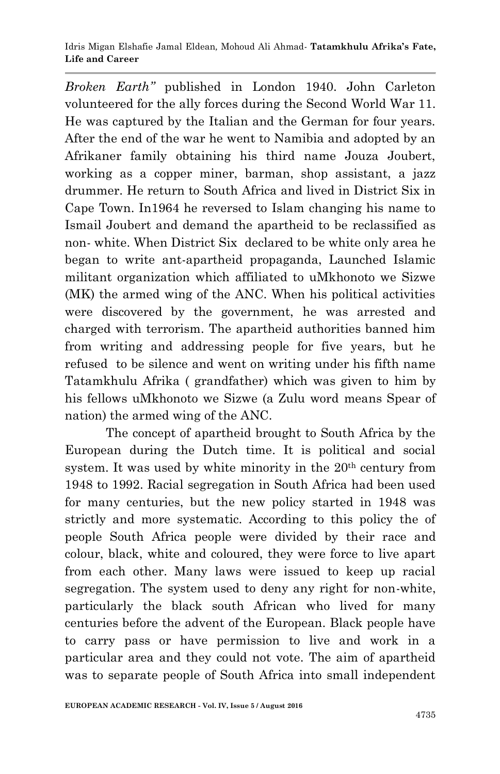*Broken Earth"* published in London 1940. John Carleton volunteered for the ally forces during the Second World War 11. He was captured by the Italian and the German for four years. After the end of the war he went to Namibia and adopted by an Afrikaner family obtaining his third name Jouza Joubert, working as a copper miner, barman, shop assistant, a jazz drummer. He return to South Africa and lived in District Six in Cape Town. In1964 he reversed to Islam changing his name to Ismail Joubert and demand the apartheid to be reclassified as non- white. When District Six declared to be white only area he began to write ant-apartheid propaganda, Launched Islamic militant organization which affiliated to uMkhonoto we Sizwe (MK) the armed wing of the ANC. When his political activities were discovered by the government, he was arrested and charged with terrorism. The apartheid authorities banned him from writing and addressing people for five years, but he refused to be silence and went on writing under his fifth name Tatamkhulu Afrika ( grandfather) which was given to him by his fellows uMkhonoto we Sizwe (a Zulu word means Spear of nation) the armed wing of the ANC.

 The concept of apartheid brought to South Africa by the European during the Dutch time. It is political and social system. It was used by white minority in the  $20<sup>th</sup>$  century from 1948 to 1992. Racial segregation in South Africa had been used for many centuries, but the new policy started in 1948 was strictly and more systematic. According to this policy the of people South Africa people were divided by their race and colour, black, white and coloured, they were force to live apart from each other. Many laws were issued to keep up racial segregation. The system used to deny any right for non-white, particularly the black south African who lived for many centuries before the advent of the European. Black people have to carry pass or have permission to live and work in a particular area and they could not vote. The aim of apartheid was to separate people of South Africa into small independent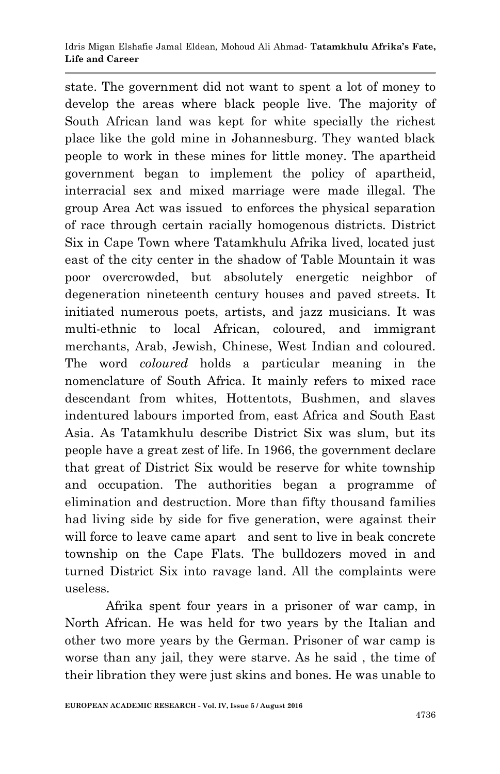state. The government did not want to spent a lot of money to develop the areas where black people live. The majority of South African land was kept for white specially the richest place like the gold mine in Johannesburg. They wanted black people to work in these mines for little money. The apartheid government began to implement the policy of apartheid, interracial sex and mixed marriage were made illegal. The group Area Act was issued to enforces the physical separation of race through certain racially homogenous districts. District Six in Cape Town where Tatamkhulu Afrika lived, located just east of the city center in the shadow of Table Mountain it was poor overcrowded, but absolutely energetic neighbor of degeneration nineteenth century houses and paved streets. It initiated numerous poets, artists, and jazz musicians. It was multi-ethnic to local African, coloured, and immigrant merchants, Arab, Jewish, Chinese, West Indian and coloured. The word *coloured* holds a particular meaning in the nomenclature of South Africa. It mainly refers to mixed race descendant from whites, Hottentots, Bushmen, and slaves indentured labours imported from, east Africa and South East Asia. As Tatamkhulu describe District Six was slum, but its people have a great zest of life. In 1966, the government declare that great of District Six would be reserve for white township and occupation. The authorities began a programme of elimination and destruction. More than fifty thousand families had living side by side for five generation, were against their will force to leave came apart and sent to live in beak concrete township on the Cape Flats. The bulldozers moved in and turned District Six into ravage land. All the complaints were useless.

 Afrika spent four years in a prisoner of war camp, in North African. He was held for two years by the Italian and other two more years by the German. Prisoner of war camp is worse than any jail, they were starve. As he said , the time of their libration they were just skins and bones. He was unable to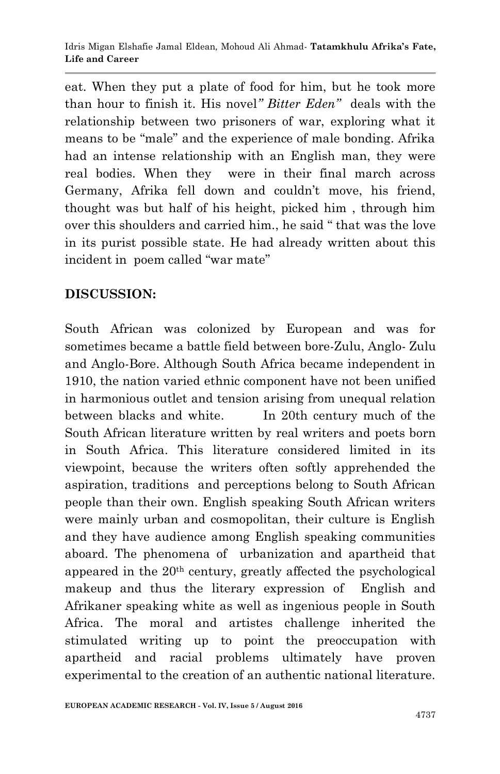eat. When they put a plate of food for him, but he took more than hour to finish it. His novel*" Bitter Eden"* deals with the relationship between two prisoners of war, exploring what it means to be "male" and the experience of male bonding. Afrika had an intense relationship with an English man, they were real bodies. When they were in their final march across Germany, Afrika fell down and couldn't move, his friend, thought was but half of his height, picked him , through him over this shoulders and carried him., he said " that was the love in its purist possible state. He had already written about this incident in poem called "war mate"

# **DISCUSSION:**

South African was colonized by European and was for sometimes became a battle field between bore-Zulu, Anglo- Zulu and Anglo-Bore. Although South Africa became independent in 1910, the nation varied ethnic component have not been unified in harmonious outlet and tension arising from unequal relation between blacks and white. In 20th century much of the South African literature written by real writers and poets born in South Africa. This literature considered limited in its viewpoint, because the writers often softly apprehended the aspiration, traditions and perceptions belong to South African people than their own. English speaking South African writers were mainly urban and cosmopolitan, their culture is English and they have audience among English speaking communities aboard. The phenomena of urbanization and apartheid that appeared in the 20th century, greatly affected the psychological makeup and thus the literary expression of English and Afrikaner speaking white as well as ingenious people in South Africa. The moral and artistes challenge inherited the stimulated writing up to point the preoccupation with apartheid and racial problems ultimately have proven experimental to the creation of an authentic national literature.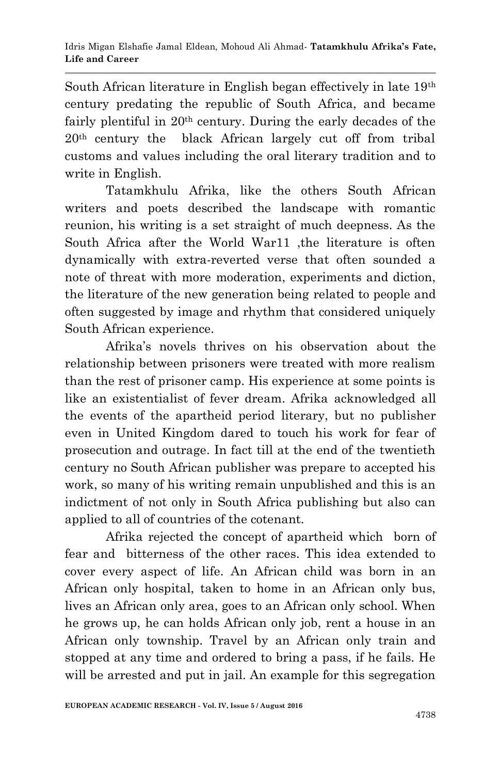South African literature in English began effectively in late 19th century predating the republic of South Africa, and became fairly plentiful in 20<sup>th</sup> century. During the early decades of the 20th century the black African largely cut off from tribal customs and values including the oral literary tradition and to write in English.

 Tatamkhulu Afrika, like the others South African writers and poets described the landscape with romantic reunion, his writing is a set straight of much deepness. As the South Africa after the World War11 ,the literature is often dynamically with extra-reverted verse that often sounded a note of threat with more moderation, experiments and diction, the literature of the new generation being related to people and often suggested by image and rhythm that considered uniquely South African experience.

 Afrika's novels thrives on his observation about the relationship between prisoners were treated with more realism than the rest of prisoner camp. His experience at some points is like an existentialist of fever dream. Afrika acknowledged all the events of the apartheid period literary, but no publisher even in United Kingdom dared to touch his work for fear of prosecution and outrage. In fact till at the end of the twentieth century no South African publisher was prepare to accepted his work, so many of his writing remain unpublished and this is an indictment of not only in South Africa publishing but also can applied to all of countries of the cotenant.

Afrika rejected the concept of apartheid which born of fear and bitterness of the other races. This idea extended to cover every aspect of life. An African child was born in an African only hospital, taken to home in an African only bus, lives an African only area, goes to an African only school. When he grows up, he can holds African only job, rent a house in an African only township. Travel by an African only train and stopped at any time and ordered to bring a pass, if he fails. He will be arrested and put in jail. An example for this segregation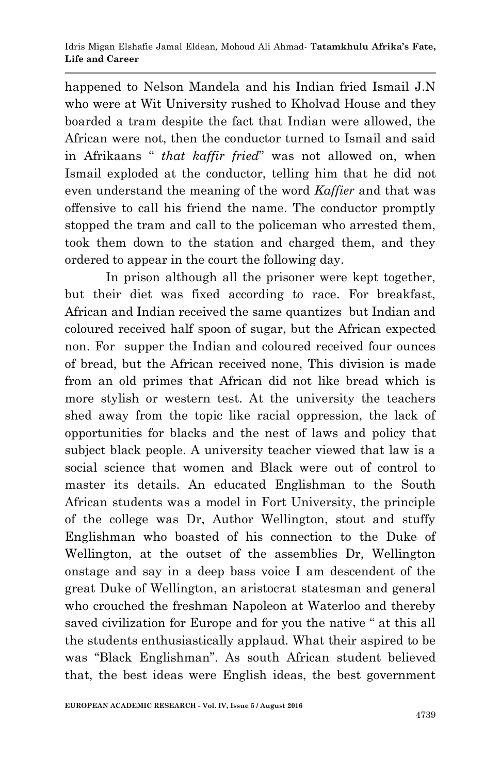happened to Nelson Mandela and his Indian fried Ismail J.N who were at Wit University rushed to Kholvad House and they boarded a tram despite the fact that Indian were allowed, the African were not, then the conductor turned to Ismail and said in Afrikaans " *that kaffir fried*" was not allowed on, when Ismail exploded at the conductor, telling him that he did not even understand the meaning of the word *Kaffier* and that was offensive to call his friend the name. The conductor promptly stopped the tram and call to the policeman who arrested them, took them down to the station and charged them, and they ordered to appear in the court the following day.

 In prison although all the prisoner were kept together, but their diet was fixed according to race. For breakfast, African and Indian received the same quantizes but Indian and coloured received half spoon of sugar, but the African expected non. For supper the Indian and coloured received four ounces of bread, but the African received none, This division is made from an old primes that African did not like bread which is more stylish or western test. At the university the teachers shed away from the topic like racial oppression, the lack of opportunities for blacks and the nest of laws and policy that subject black people. A university teacher viewed that law is a social science that women and Black were out of control to master its details. An educated Englishman to the South African students was a model in Fort University, the principle of the college was Dr, Author Wellington, stout and stuffy Englishman who boasted of his connection to the Duke of Wellington, at the outset of the assemblies Dr, Wellington onstage and say in a deep bass voice I am descendent of the great Duke of Wellington, an aristocrat statesman and general who crouched the freshman Napoleon at Waterloo and thereby saved civilization for Europe and for you the native " at this all the students enthusiastically applaud. What their aspired to be was "Black Englishman". As south African student believed that, the best ideas were English ideas, the best government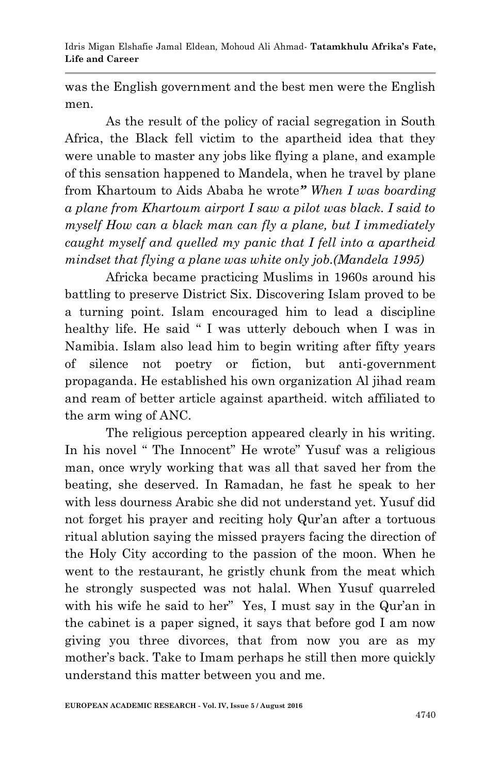Idris Migan Elshafie Jamal Eldean*,* Mohoud Ali Ahmad*-* **Tatamkhulu Afrika's Fate, Life and Career**

was the English government and the best men were the English men.

 As the result of the policy of racial segregation in South Africa, the Black fell victim to the apartheid idea that they were unable to master any jobs like flying a plane, and example of this sensation happened to Mandela, when he travel by plane from Khartoum to Aids Ababa he wrote*" When I was boarding a plane from Khartoum airport I saw a pilot was black. I said to myself How can a black man can fly a plane, but I immediately caught myself and quelled my panic that I fell into a apartheid mindset that flying a plane was white only job.(Mandela 1995)* 

 Africka became practicing Muslims in 1960s around his battling to preserve District Six. Discovering Islam proved to be a turning point. Islam encouraged him to lead a discipline healthy life. He said " I was utterly debouch when I was in Namibia. Islam also lead him to begin writing after fifty years of silence not poetry or fiction, but anti-government propaganda. He established his own organization Al jihad ream and ream of better article against apartheid. witch affiliated to the arm wing of ANC.

 The religious perception appeared clearly in his writing. In his novel " The Innocent" He wrote" Yusuf was a religious man, once wryly working that was all that saved her from the beating, she deserved. In Ramadan, he fast he speak to her with less dourness Arabic she did not understand yet. Yusuf did not forget his prayer and reciting holy Qur'an after a tortuous ritual ablution saying the missed prayers facing the direction of the Holy City according to the passion of the moon. When he went to the restaurant, he gristly chunk from the meat which he strongly suspected was not halal. When Yusuf quarreled with his wife he said to her" Yes, I must say in the Qur'an in the cabinet is a paper signed, it says that before god I am now giving you three divorces, that from now you are as my mother's back. Take to Imam perhaps he still then more quickly understand this matter between you and me.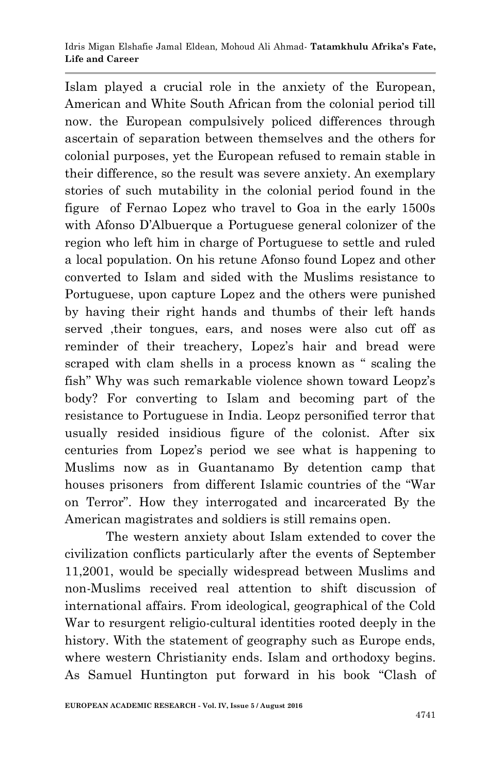Islam played a crucial role in the anxiety of the European, American and White South African from the colonial period till now. the European compulsively policed differences through ascertain of separation between themselves and the others for colonial purposes, yet the European refused to remain stable in their difference, so the result was severe anxiety. An exemplary stories of such mutability in the colonial period found in the figure of Fernao Lopez who travel to Goa in the early 1500s with Afonso D'Albuerque a Portuguese general colonizer of the region who left him in charge of Portuguese to settle and ruled a local population. On his retune Afonso found Lopez and other converted to Islam and sided with the Muslims resistance to Portuguese, upon capture Lopez and the others were punished by having their right hands and thumbs of their left hands served ,their tongues, ears, and noses were also cut off as reminder of their treachery, Lopez's hair and bread were scraped with clam shells in a process known as " scaling the fish" Why was such remarkable violence shown toward Leopz's body? For converting to Islam and becoming part of the resistance to Portuguese in India. Leopz personified terror that usually resided insidious figure of the colonist. After six centuries from Lopez's period we see what is happening to Muslims now as in Guantanamo By detention camp that houses prisoners from different Islamic countries of the "War on Terror". How they interrogated and incarcerated By the American magistrates and soldiers is still remains open.

 The western anxiety about Islam extended to cover the civilization conflicts particularly after the events of September 11,2001, would be specially widespread between Muslims and non-Muslims received real attention to shift discussion of international affairs. From ideological, geographical of the Cold War to resurgent religio-cultural identities rooted deeply in the history. With the statement of geography such as Europe ends, where western Christianity ends. Islam and orthodoxy begins. As Samuel Huntington put forward in his book "Clash of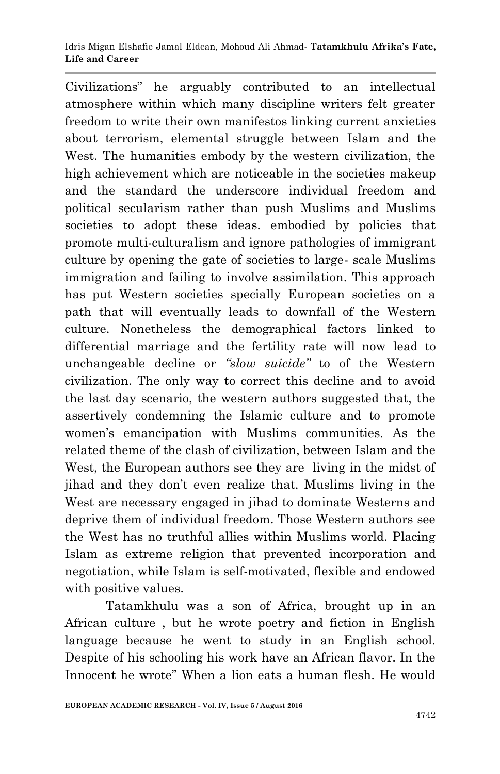Civilizations" he arguably contributed to an intellectual atmosphere within which many discipline writers felt greater freedom to write their own manifestos linking current anxieties about terrorism, elemental struggle between Islam and the West. The humanities embody by the western civilization, the high achievement which are noticeable in the societies makeup and the standard the underscore individual freedom and political secularism rather than push Muslims and Muslims societies to adopt these ideas. embodied by policies that promote multi-culturalism and ignore pathologies of immigrant culture by opening the gate of societies to large- scale Muslims immigration and failing to involve assimilation. This approach has put Western societies specially European societies on a path that will eventually leads to downfall of the Western culture. Nonetheless the demographical factors linked to differential marriage and the fertility rate will now lead to unchangeable decline or *"slow suicide"* to of the Western civilization. The only way to correct this decline and to avoid the last day scenario, the western authors suggested that, the assertively condemning the Islamic culture and to promote women's emancipation with Muslims communities. As the related theme of the clash of civilization, between Islam and the West, the European authors see they are living in the midst of jihad and they don't even realize that. Muslims living in the West are necessary engaged in jihad to dominate Westerns and deprive them of individual freedom. Those Western authors see the West has no truthful allies within Muslims world. Placing Islam as extreme religion that prevented incorporation and negotiation, while Islam is self-motivated, flexible and endowed with positive values.

 Tatamkhulu was a son of Africa, brought up in an African culture , but he wrote poetry and fiction in English language because he went to study in an English school. Despite of his schooling his work have an African flavor. In the Innocent he wrote" When a lion eats a human flesh. He would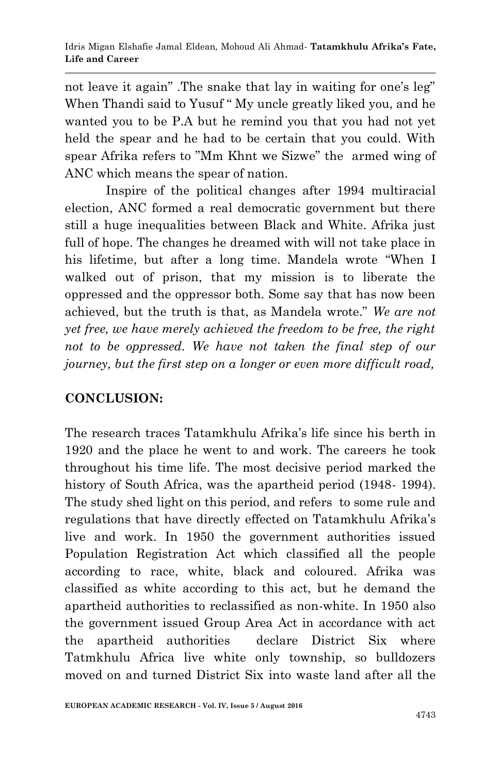not leave it again" .The snake that lay in waiting for one's leg" When Thandi said to Yusuf " My uncle greatly liked you, and he wanted you to be P.A but he remind you that you had not yet held the spear and he had to be certain that you could. With spear Afrika refers to "Mm Khnt we Sizwe" the armed wing of ANC which means the spear of nation.

Inspire of the political changes after 1994 multiracial election, ANC formed a real democratic government but there still a huge inequalities between Black and White. Afrika just full of hope. The changes he dreamed with will not take place in his lifetime, but after a long time. Mandela wrote "When I walked out of prison, that my mission is to liberate the oppressed and the oppressor both. Some say that has now been achieved, but the truth is that, as Mandela wrote." *We are not yet free, we have merely achieved the freedom to be free, the right not to be oppressed. We have not taken the final step of our journey, but the first step on a longer or even more difficult road,*

# **CONCLUSION:**

The research traces Tatamkhulu Afrika's life since his berth in 1920 and the place he went to and work. The careers he took throughout his time life. The most decisive period marked the history of South Africa, was the apartheid period (1948- 1994). The study shed light on this period, and refers to some rule and regulations that have directly effected on Tatamkhulu Afrika's live and work. In 1950 the government authorities issued Population Registration Act which classified all the people according to race, white, black and coloured. Afrika was classified as white according to this act, but he demand the apartheid authorities to reclassified as non-white. In 1950 also the government issued Group Area Act in accordance with act the apartheid authorities declare District Six where Tatmkhulu Africa live white only township, so bulldozers moved on and turned District Six into waste land after all the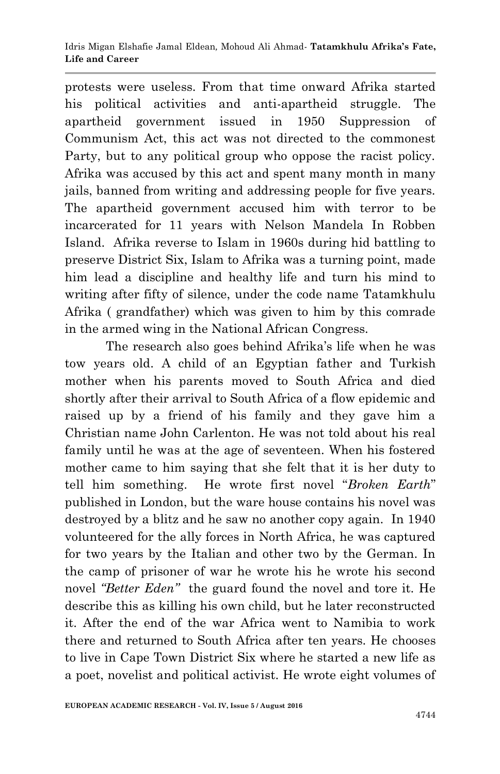protests were useless. From that time onward Afrika started his political activities and anti-apartheid struggle. The apartheid government issued in 1950 Suppression of Communism Act, this act was not directed to the commonest Party, but to any political group who oppose the racist policy. Afrika was accused by this act and spent many month in many jails, banned from writing and addressing people for five years. The apartheid government accused him with terror to be incarcerated for 11 years with Nelson Mandela In Robben Island. Afrika reverse to Islam in 1960s during hid battling to preserve District Six, Islam to Afrika was a turning point, made him lead a discipline and healthy life and turn his mind to writing after fifty of silence, under the code name Tatamkhulu Afrika ( grandfather) which was given to him by this comrade in the armed wing in the National African Congress.

 The research also goes behind Afrika's life when he was tow years old. A child of an Egyptian father and Turkish mother when his parents moved to South Africa and died shortly after their arrival to South Africa of a flow epidemic and raised up by a friend of his family and they gave him a Christian name John Carlenton. He was not told about his real family until he was at the age of seventeen. When his fostered mother came to him saying that she felt that it is her duty to tell him something. He wrote first novel "*Broken Earth*" published in London, but the ware house contains his novel was destroyed by a blitz and he saw no another copy again. In 1940 volunteered for the ally forces in North Africa, he was captured for two years by the Italian and other two by the German. In the camp of prisoner of war he wrote his he wrote his second novel *"Better Eden"* the guard found the novel and tore it. He describe this as killing his own child, but he later reconstructed it. After the end of the war Africa went to Namibia to work there and returned to South Africa after ten years. He chooses to live in Cape Town District Six where he started a new life as a poet, novelist and political activist. He wrote eight volumes of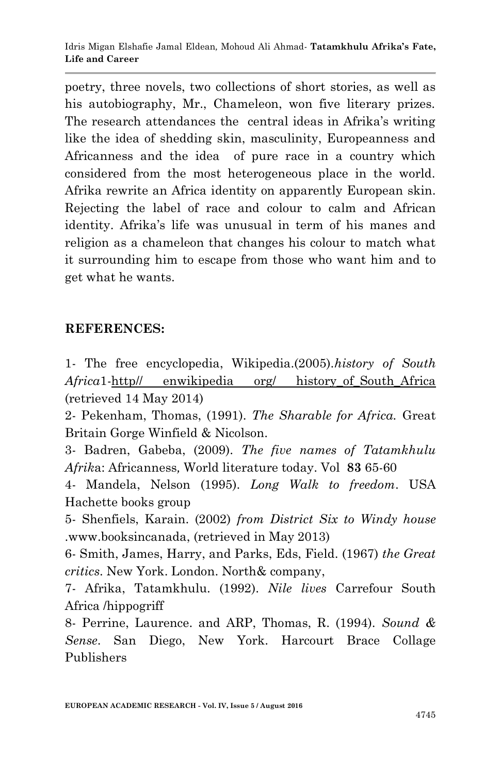poetry, three novels, two collections of short stories, as well as his autobiography, Mr., Chameleon, won five literary prizes. The research attendances the central ideas in Afrika's writing like the idea of shedding skin, masculinity, Europeanness and Africanness and the idea of pure race in a country which considered from the most heterogeneous place in the world. Afrika rewrite an Africa identity on apparently European skin. Rejecting the label of race and colour to calm and African identity. Afrika's life was unusual in term of his manes and religion as a chameleon that changes his colour to match what it surrounding him to escape from those who want him and to get what he wants.

### **REFERENCES:**

1- The free encyclopedia, Wikipedia.(2005).*history of South Africa*1-http// enwikipedia org/ history\_of\_South\_Africa (retrieved 14 May 2014)

2- Pekenham, Thomas, (1991). *The Sharable for Africa.* Great Britain Gorge Winfield & Nicolson.

3- Badren, Gabeba, (2009). *The five names of Tatamkhulu Afrik*a: Africanness*,* World literature today. Vol **83** 65-60

4- Mandela, Nelson (1995). *Long Walk to freedom*. USA Hachette books group

5- Shenfiels, Karain. (2002) *from District Six to Windy house* .www.booksincanada, (retrieved in May 2013)

6- Smith, James, Harry, and Parks, Eds, Field. (1967) *the Great critics*. New York. London. North& company,

7- Afrika, Tatamkhulu. (1992). *Nile lives* Carrefour South Africa /hippogriff

8- Perrine, Laurence. and ARP, Thomas, R. (1994). *Sound & Sense*. San Diego, New York. Harcourt Brace Collage Publishers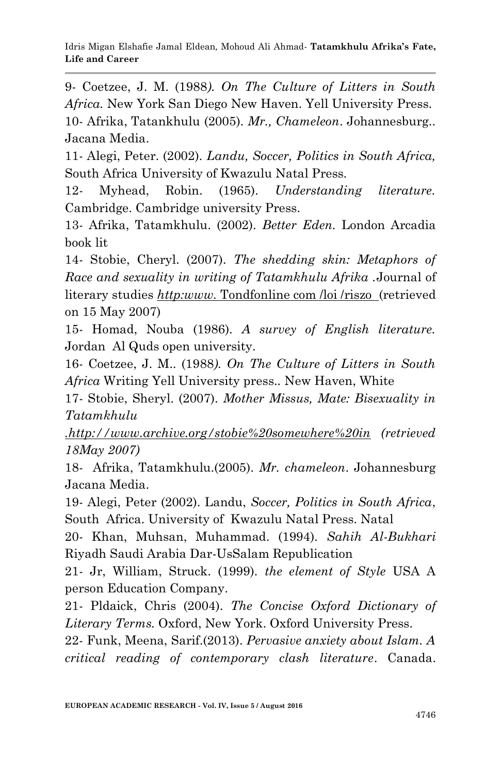9- Coetzee, J. M. (1988*). On The Culture of Litters in South Africa.* New York San Diego New Haven. Yell University Press. 10- Afrika, Tatankhulu (2005). *Mr., Chameleon*. Johannesburg*..* Jacana Media.

11- Alegi, Peter. (2002). *Landu, Soccer, Politics in South Africa,*  South Africa University of Kwazulu Natal Press.

12- Myhead, Robin. (1965). *Understanding literature.* Cambridge. Cambridge university Press.

13- Afrika, Tatamkhulu. (2002). *Better Eden.* London Arcadia book lit

14- Stobie, Cheryl. (2007). *The shedding skin: Metaphors of Race and sexuality in writing of Tatamkhulu Afrika .*Journal of literary studies *http:www.* Tondfonline com /loi /riszo(retrieved on 15 May 2007)

15- Homad, Nouba (1986). *A survey of English literature.* Jordan Al Quds open university.

16- Coetzee, J. M.. (1988*). On The Culture of Litters in South Africa* Writing Yell University press.*.* New Haven, White

17- Stobie, Sheryl. (2007). *Mother Missus, Mate: Bisexuality in Tatamkhulu* 

*.http://www.archive.org/stobie%20somewhere%20in (retrieved 18May 2007)* 

18- Afrika, Tatamkhulu.(2005). *Mr. chameleon*. Johannesburg Jacana Media.

19- Alegi, Peter (2002). Landu, *Soccer, Politics in South Africa*, South Africa. University of Kwazulu Natal Press. Natal

20- Khan, Muhsan, Muhammad. (1994). *Sahih Al-Bukhari* Riyadh Saudi Arabia Dar-UsSalam Republication

21- Jr, William, Struck. (1999). *the element of Style* USA A person Education Company.

21- Pldaick, Chris (2004). *The Concise Oxford Dictionary of Literary Terms.* Oxford, New York. Oxford University Press.

22- Funk, Meena, Sarif.(2013). *Pervasive anxiety about Islam. A critical reading of contemporary clash literature*. Canada.